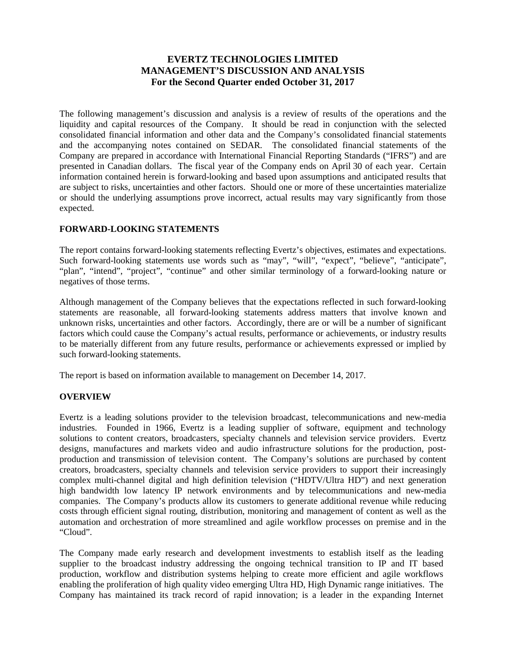# **EVERTZ TECHNOLOGIES LIMITED MANAGEMENT'S DISCUSSION AND ANALYSIS For the Second Quarter ended October 31, 2017**

The following management's discussion and analysis is a review of results of the operations and the liquidity and capital resources of the Company. It should be read in conjunction with the selected consolidated financial information and other data and the Company's consolidated financial statements and the accompanying notes contained on SEDAR. The consolidated financial statements of the Company are prepared in accordance with International Financial Reporting Standards ("IFRS") and are presented in Canadian dollars. The fiscal year of the Company ends on April 30 of each year. Certain information contained herein is forward-looking and based upon assumptions and anticipated results that are subject to risks, uncertainties and other factors. Should one or more of these uncertainties materialize or should the underlying assumptions prove incorrect, actual results may vary significantly from those expected.

# **FORWARD-LOOKING STATEMENTS**

The report contains forward-looking statements reflecting Evertz's objectives, estimates and expectations. Such forward-looking statements use words such as "may", "will", "expect", "believe", "anticipate", "plan", "intend", "project", "continue" and other similar terminology of a forward-looking nature or negatives of those terms.

Although management of the Company believes that the expectations reflected in such forward-looking statements are reasonable, all forward-looking statements address matters that involve known and unknown risks, uncertainties and other factors. Accordingly, there are or will be a number of significant factors which could cause the Company's actual results, performance or achievements, or industry results to be materially different from any future results, performance or achievements expressed or implied by such forward-looking statements.

The report is based on information available to management on December 14, 2017.

# **OVERVIEW**

Evertz is a leading solutions provider to the television broadcast, telecommunications and new-media industries. Founded in 1966, Evertz is a leading supplier of software, equipment and technology solutions to content creators, broadcasters, specialty channels and television service providers. Evertz designs, manufactures and markets video and audio infrastructure solutions for the production, postproduction and transmission of television content. The Company's solutions are purchased by content creators, broadcasters, specialty channels and television service providers to support their increasingly complex multi-channel digital and high definition television ("HDTV/Ultra HD") and next generation high bandwidth low latency IP network environments and by telecommunications and new-media companies. The Company's products allow its customers to generate additional revenue while reducing costs through efficient signal routing, distribution, monitoring and management of content as well as the automation and orchestration of more streamlined and agile workflow processes on premise and in the "Cloud".

The Company made early research and development investments to establish itself as the leading supplier to the broadcast industry addressing the ongoing technical transition to IP and IT based production, workflow and distribution systems helping to create more efficient and agile workflows enabling the proliferation of high quality video emerging Ultra HD, High Dynamic range initiatives. The Company has maintained its track record of rapid innovation; is a leader in the expanding Internet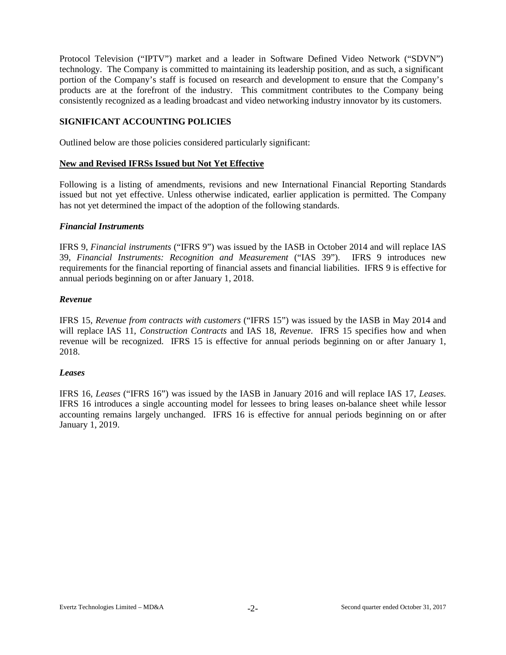Protocol Television ("IPTV") market and a leader in Software Defined Video Network ("SDVN") technology. The Company is committed to maintaining its leadership position, and as such, a significant portion of the Company's staff is focused on research and development to ensure that the Company's products are at the forefront of the industry. This commitment contributes to the Company being consistently recognized as a leading broadcast and video networking industry innovator by its customers.

### **SIGNIFICANT ACCOUNTING POLICIES**

Outlined below are those policies considered particularly significant:

#### **New and Revised IFRSs Issued but Not Yet Effective**

Following is a listing of amendments, revisions and new International Financial Reporting Standards issued but not yet effective. Unless otherwise indicated, earlier application is permitted. The Company has not yet determined the impact of the adoption of the following standards.

#### *Financial Instruments*

IFRS 9, *Financial instruments* ("IFRS 9") was issued by the IASB in October 2014 and will replace IAS 39, *Financial Instruments: Recognition and Measurement* ("IAS 39"). IFRS 9 introduces new requirements for the financial reporting of financial assets and financial liabilities. IFRS 9 is effective for annual periods beginning on or after January 1, 2018.

### *Revenue*

IFRS 15, *Revenue from contracts with customers* ("IFRS 15") was issued by the IASB in May 2014 and will replace IAS 11, *Construction Contracts* and IAS 18, *Revenue*. IFRS 15 specifies how and when revenue will be recognized. IFRS 15 is effective for annual periods beginning on or after January 1, 2018.

#### *Leases*

IFRS 16, *Leases* ("IFRS 16") was issued by the IASB in January 2016 and will replace IAS 17, *Leases.* IFRS 16 introduces a single accounting model for lessees to bring leases on-balance sheet while lessor accounting remains largely unchanged. IFRS 16 is effective for annual periods beginning on or after January 1, 2019.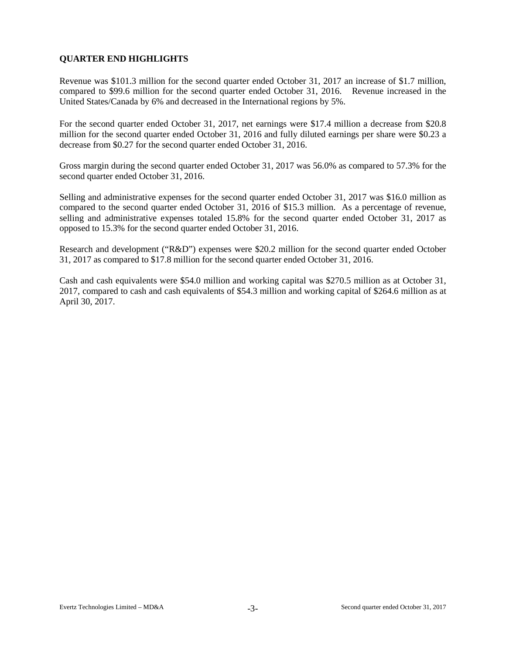# **QUARTER END HIGHLIGHTS**

Revenue was \$101.3 million for the second quarter ended October 31, 2017 an increase of \$1.7 million, compared to \$99.6 million for the second quarter ended October 31, 2016. Revenue increased in the United States/Canada by 6% and decreased in the International regions by 5%.

For the second quarter ended October 31, 2017, net earnings were \$17.4 million a decrease from \$20.8 million for the second quarter ended October 31, 2016 and fully diluted earnings per share were \$0.23 a decrease from \$0.27 for the second quarter ended October 31, 2016.

Gross margin during the second quarter ended October 31, 2017 was 56.0% as compared to 57.3% for the second quarter ended October 31, 2016.

Selling and administrative expenses for the second quarter ended October 31, 2017 was \$16.0 million as compared to the second quarter ended October 31, 2016 of \$15.3 million. As a percentage of revenue, selling and administrative expenses totaled 15.8% for the second quarter ended October 31, 2017 as opposed to 15.3% for the second quarter ended October 31, 2016.

Research and development ("R&D") expenses were \$20.2 million for the second quarter ended October 31, 2017 as compared to \$17.8 million for the second quarter ended October 31, 2016.

Cash and cash equivalents were \$54.0 million and working capital was \$270.5 million as at October 31, 2017, compared to cash and cash equivalents of \$54.3 million and working capital of \$264.6 million as at April 30, 2017.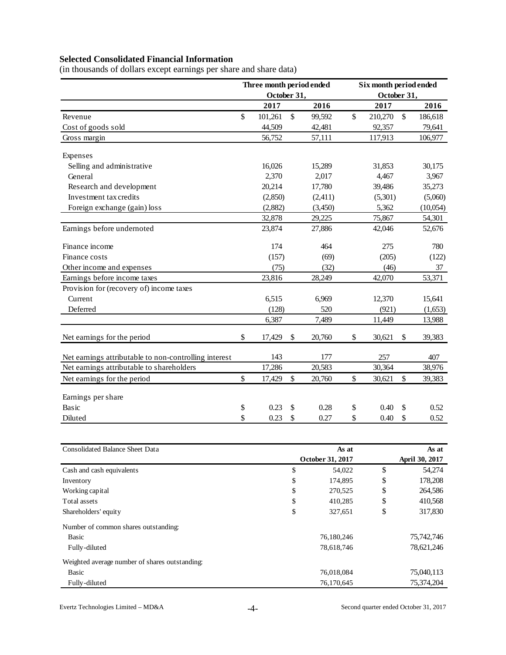# **Selected Consolidated Financial Information**

(in thousands of dollars except earnings per share and share data)

|                                                       | Three month period ended |              |         |               | Six month period ended |              |          |
|-------------------------------------------------------|--------------------------|--------------|---------|---------------|------------------------|--------------|----------|
|                                                       | October 31,              |              |         |               | October 31,            |              |          |
|                                                       | 2017                     |              | 2016    |               | 2017                   |              | 2016     |
| Revenue                                               | \$<br>101,261            | $\mathbb{S}$ | 99,592  | $\mathcal{S}$ | 210,270                | $\mathbb{S}$ | 186,618  |
| Cost of goods sold                                    | 44,509                   |              | 42,481  |               | 92,357                 |              | 79,641   |
| Gross margin                                          | 56,752                   |              | 57,111  |               | 117,913                |              | 106,977  |
| Expenses                                              |                          |              |         |               |                        |              |          |
| Selling and administrative                            | 16,026                   |              | 15,289  |               | 31,853                 |              | 30,175   |
| General                                               | 2,370                    |              | 2,017   |               | 4,467                  |              | 3,967    |
| Research and development                              | 20,214                   |              | 17,780  |               | 39,486                 |              | 35,273   |
| Investment tax credits                                | (2,850)                  |              | (2,411) |               | (5,301)                |              | (5,060)  |
| Foreign exchange (gain) loss                          | (2,882)                  |              | (3,450) |               | 5,362                  |              | (10,054) |
|                                                       | 32,878                   |              | 29,225  |               | 75,867                 |              | 54,301   |
| Earnings before undernoted                            | 23,874                   |              | 27,886  |               | 42,046                 |              | 52,676   |
| Finance income                                        | 174                      |              | 464     |               | 275                    |              | 780      |
| Finance costs                                         | (157)                    |              | (69)    |               | (205)                  |              | (122)    |
| Other income and expenses                             | (75)                     |              | (32)    |               | (46)                   |              | 37       |
| Earnings before income taxes                          | 23,816                   |              | 28,249  |               | 42,070                 |              | 53,371   |
| Provision for (recovery of) income taxes              |                          |              |         |               |                        |              |          |
| Current                                               | 6,515                    |              | 6,969   |               | 12,370                 |              | 15,641   |
| Deferred                                              | (128)                    |              | 520     |               | (921)                  |              | (1,653)  |
|                                                       | 6,387                    |              | 7,489   |               | 11,449                 |              | 13,988   |
| Net earnings for the period                           | \$<br>17,429             | \$           | 20,760  | \$            | 30,621                 | \$           | 39,383   |
| Net earnings attributable to non-controlling interest | 143                      |              | 177     |               | 257                    |              | 407      |
| Net earnings attributable to shareholders             | 17,286                   |              | 20,583  |               | 30,364                 |              | 38,976   |
| Net earnings for the period                           | \$<br>17,429             | \$           | 20,760  | \$            | 30,621                 | \$           | 39,383   |
| Earnings per share                                    |                          |              |         |               |                        |              |          |
| Basic                                                 | \$<br>0.23               | \$           | 0.28    | \$            | 0.40                   | \$           | 0.52     |
| Diluted                                               | \$<br>0.23               | \$           | 0.27    | \$            | 0.40                   | \$           | 0.52     |

| As at         | As at            |                |  |  |  |
|---------------|------------------|----------------|--|--|--|
|               |                  | April 30, 2017 |  |  |  |
| \$<br>54,022  | \$               | 54,274         |  |  |  |
| \$<br>174,895 | \$               | 178,208        |  |  |  |
| \$<br>270,525 | \$               | 264,586        |  |  |  |
| \$<br>410,285 | \$               | 410,568        |  |  |  |
| \$<br>327,651 | \$               | 317,830        |  |  |  |
|               |                  |                |  |  |  |
| 76,180,246    |                  | 75,742,746     |  |  |  |
| 78,618,746    |                  | 78,621,246     |  |  |  |
|               |                  |                |  |  |  |
| 76,018,084    |                  | 75,040,113     |  |  |  |
| 76,170,645    |                  | 75,374,204     |  |  |  |
|               | October 31, 2017 |                |  |  |  |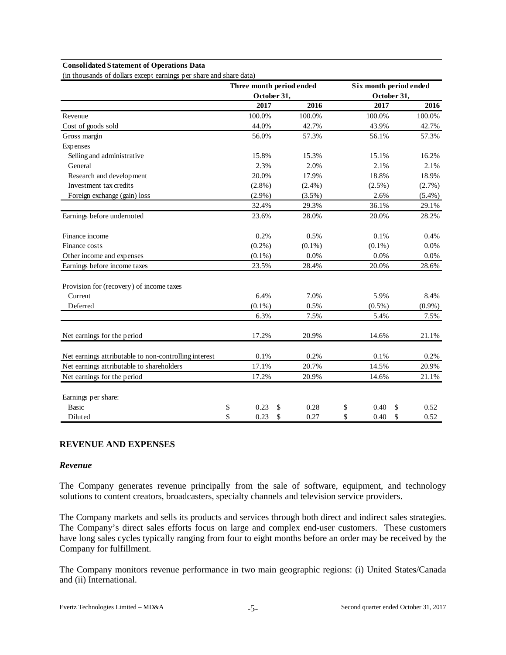#### **Consolidated Statement of Operations Data**

(in thousands of dollars except earnings per share and share data)

|                                                       | Three month period ended |             |           | Six month period ended |           |
|-------------------------------------------------------|--------------------------|-------------|-----------|------------------------|-----------|
|                                                       |                          | October 31, |           | October 31,            |           |
|                                                       | 2017                     |             | 2016      | 2017                   | 2016      |
| Revenue                                               | 100.0%                   |             | 100.0%    | 100.0%                 | 100.0%    |
| Cost of goods sold                                    | 44.0%                    |             | 42.7%     | 43.9%                  | 42.7%     |
| Gross margin                                          | 56.0%                    |             | 57.3%     | 56.1%                  | 57.3%     |
| Expenses                                              |                          |             |           |                        |           |
| Selling and administrative                            | 15.8%                    |             | 15.3%     | 15.1%                  | 16.2%     |
| General                                               | 2.3%                     |             | 2.0%      | 2.1%                   | 2.1%      |
| Research and development                              | 20.0%                    |             | 17.9%     | 18.8%                  | 18.9%     |
| Investment tax credits                                | $(2.8\%)$                |             | $(2.4\%)$ | $(2.5\%)$              | (2.7%)    |
| Foreign exchange (gain) loss                          | $(2.9\%)$                |             | $(3.5\%)$ | 2.6%                   | $(5.4\%)$ |
|                                                       | 32.4%                    |             | 29.3%     | 36.1%                  | 29.1%     |
| Earnings before undernoted                            | 23.6%                    |             | 28.0%     | 20.0%                  | 28.2%     |
| Finance income                                        | 0.2%                     |             | 0.5%      | 0.1%                   | 0.4%      |
| Finance costs                                         | $(0.2\%)$                |             | $(0.1\%)$ | $(0.1\%)$              | 0.0%      |
| Other income and expenses                             | $(0.1\%)$                |             | 0.0%      | 0.0%                   | 0.0%      |
| Earnings before income taxes                          | 23.5%                    |             | 28.4%     | 20.0%                  | 28.6%     |
| Provision for (recovery) of income taxes              |                          |             |           |                        |           |
| Current                                               | 6.4%                     |             | 7.0%      | 5.9%                   | 8.4%      |
| Deferred                                              | $(0.1\%)$                |             | 0.5%      | $(0.5\%)$              | $(0.9\%)$ |
|                                                       | 6.3%                     |             | 7.5%      | 5.4%                   | 7.5%      |
| Net earnings for the period                           | 17.2%                    |             | 20.9%     | 14.6%                  | 21.1%     |
| Net earnings attributable to non-controlling interest | 0.1%                     |             | 0.2%      | 0.1%                   | 0.2%      |
| Net earnings attributable to shareholders             | 17.1%                    |             | 20.7%     | 14.5%                  | 20.9%     |
| Net earnings for the period                           | 17.2%                    |             | 20.9%     | 14.6%                  | 21.1%     |
| Earnings per share:                                   |                          |             |           |                        |           |
| <b>Basic</b>                                          | \$<br>0.23               | \$          | 0.28      | \$<br>0.40<br>\$       | 0.52      |
| Diluted                                               | \$<br>0.23               | \$          | 0.27      | \$<br>\$<br>0.40       | 0.52      |

### **REVENUE AND EXPENSES**

#### *Revenue*

The Company generates revenue principally from the sale of software, equipment, and technology solutions to content creators, broadcasters, specialty channels and television service providers.

The Company markets and sells its products and services through both direct and indirect sales strategies. The Company's direct sales efforts focus on large and complex end-user customers. These customers have long sales cycles typically ranging from four to eight months before an order may be received by the Company for fulfillment.

The Company monitors revenue performance in two main geographic regions: (i) United States/Canada and (ii) International.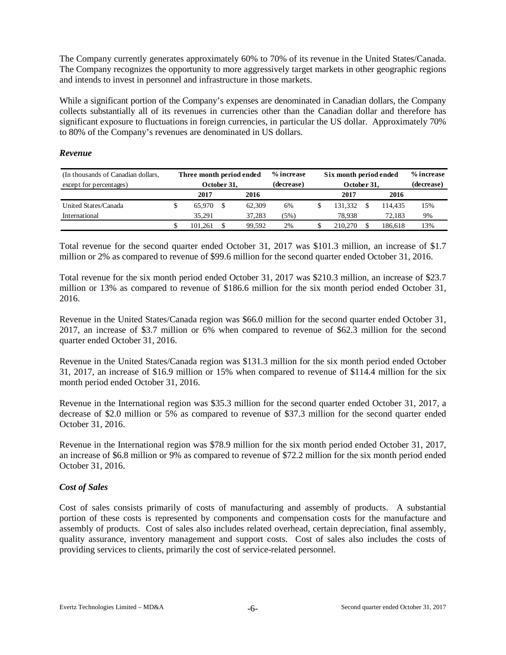The Company currently generates approximately 60% to 70% of its revenue in the United States/Canada. The Company recognizes the opportunity to more aggressively target markets in other geographic regions and intends to invest in personnel and infrastructure in those markets.

While a significant portion of the Company's expenses are denominated in Canadian dollars, the Company collects substantially all of its revenues in currencies other than the Canadian dollar and therefore has significant exposure to fluctuations in foreign currencies, in particular the US dollar. Approximately 70% to 80% of the Company's revenues are denominated in US dollars.

### *Revenue*

| (In thousands of Canadian dollars, | Three month period ended |         |  |        | % increase | Six month period ended |            | % increase |     |
|------------------------------------|--------------------------|---------|--|--------|------------|------------------------|------------|------------|-----|
| except for percentages)            | October 31.              |         |  |        | (decrease) | October 31,            | (decrease) |            |     |
|                                    |                          | 2017    |  | 2016   |            | 2017                   |            | 2016       |     |
| United States/Canada               |                          | 65.970  |  | 62,309 | 6%         | 131.332                |            | 114.435    | 15% |
| International                      |                          | 35.291  |  | 37.283 | (5%)       | 78.938                 |            | 72.183     | 9%  |
|                                    |                          | 101.261 |  | 99.592 | 2%         | 210,270                |            | 186.618    | 13% |

Total revenue for the second quarter ended October 31, 2017 was \$101.3 million, an increase of \$1.7 million or 2% as compared to revenue of \$99.6 million for the second quarter ended October 31, 2016.

Total revenue for the six month period ended October 31, 2017 was \$210.3 million, an increase of \$23.7 million or 13% as compared to revenue of \$186.6 million for the six month period ended October 31, 2016.

Revenue in the United States/Canada region was \$66.0 million for the second quarter ended October 31, 2017, an increase of \$3.7 million or 6% when compared to revenue of \$62.3 million for the second quarter ended October 31, 2016.

Revenue in the United States/Canada region was \$131.3 million for the six month period ended October 31, 2017, an increase of \$16.9 million or 15% when compared to revenue of \$114.4 million for the six month period ended October 31, 2016.

Revenue in the International region was \$35.3 million for the second quarter ended October 31, 2017, a decrease of \$2.0 million or 5% as compared to revenue of \$37.3 million for the second quarter ended October 31, 2016.

Revenue in the International region was \$78.9 million for the six month period ended October 31, 2017, an increase of \$6.8 million or 9% as compared to revenue of \$72.2 million for the six month period ended October 31, 2016.

# *Cost of Sales*

Cost of sales consists primarily of costs of manufacturing and assembly of products. A substantial portion of these costs is represented by components and compensation costs for the manufacture and assembly of products. Cost of sales also includes related overhead, certain depreciation, final assembly, quality assurance, inventory management and support costs. Cost of sales also includes the costs of providing services to clients, primarily the cost of service-related personnel.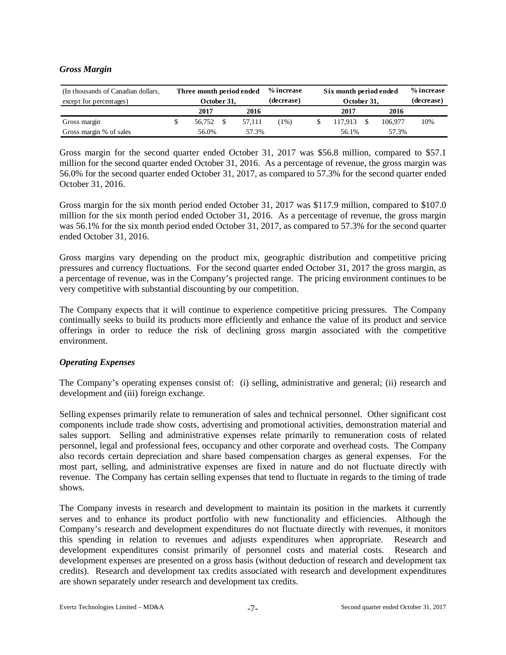## *Gross Margin*

| (In thousands of Canadian dollars,<br>except for percentages) | Three month period ended<br>October 31, |  |        | % increase<br>(decrease) | Six month period ended<br>October 31, | % increase<br>(decrease) |         |     |
|---------------------------------------------------------------|-----------------------------------------|--|--------|--------------------------|---------------------------------------|--------------------------|---------|-----|
|                                                               | 2016<br>2017                            |  |        |                          | 2017<br>2016                          |                          |         |     |
| Gross margin                                                  | 56.752                                  |  | 57.111 | $1\%)$                   | 117.913                               |                          | 106,977 | 10% |
| Gross margin % of sales                                       | 56.0%<br>57.3%                          |  |        |                          | 56.1%                                 | 57.3%                    |         |     |

Gross margin for the second quarter ended October 31, 2017 was \$56.8 million, compared to \$57.1 million for the second quarter ended October 31, 2016. As a percentage of revenue, the gross margin was 56.0% for the second quarter ended October 31, 2017, as compared to 57.3% for the second quarter ended October 31, 2016.

Gross margin for the six month period ended October 31, 2017 was \$117.9 million, compared to \$107.0 million for the six month period ended October 31, 2016. As a percentage of revenue, the gross margin was 56.1% for the six month period ended October 31, 2017, as compared to 57.3% for the second quarter ended October 31, 2016.

Gross margins vary depending on the product mix, geographic distribution and competitive pricing pressures and currency fluctuations. For the second quarter ended October 31, 2017 the gross margin, as a percentage of revenue, was in the Company's projected range. The pricing environment continues to be very competitive with substantial discounting by our competition.

The Company expects that it will continue to experience competitive pricing pressures. The Company continually seeks to build its products more efficiently and enhance the value of its product and service offerings in order to reduce the risk of declining gross margin associated with the competitive environment.

# *Operating Expenses*

The Company's operating expenses consist of: (i) selling, administrative and general; (ii) research and development and (iii) foreign exchange.

Selling expenses primarily relate to remuneration of sales and technical personnel. Other significant cost components include trade show costs, advertising and promotional activities, demonstration material and sales support. Selling and administrative expenses relate primarily to remuneration costs of related personnel, legal and professional fees, occupancy and other corporate and overhead costs. The Company also records certain depreciation and share based compensation charges as general expenses. For the most part, selling, and administrative expenses are fixed in nature and do not fluctuate directly with revenue. The Company has certain selling expenses that tend to fluctuate in regards to the timing of trade shows.

The Company invests in research and development to maintain its position in the markets it currently serves and to enhance its product portfolio with new functionality and efficiencies. Although the Company's research and development expenditures do not fluctuate directly with revenues, it monitors this spending in relation to revenues and adjusts expenditures when appropriate. Research and development expenditures consist primarily of personnel costs and material costs. Research and development expenses are presented on a gross basis (without deduction of research and development tax credits). Research and development tax credits associated with research and development expenditures are shown separately under research and development tax credits.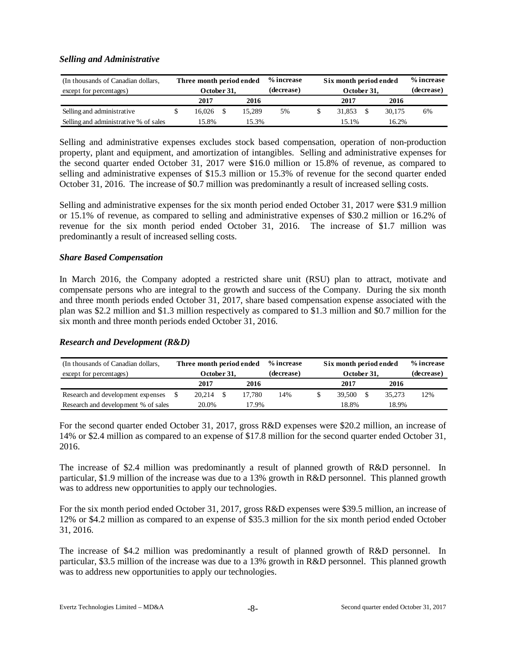### *Selling and Administrative*

| (In thousands of Canadian dollars,<br>except for percentages) |                | Three month period ended<br>October 31. |  |        | % increase<br>(decrease) | Six month period ended<br>October 31, | % increase<br>(decrease) |    |
|---------------------------------------------------------------|----------------|-----------------------------------------|--|--------|--------------------------|---------------------------------------|--------------------------|----|
|                                                               |                | 2017                                    |  | 2016   |                          | 2017                                  | 2016                     |    |
| Selling and administrative                                    |                | 16.026                                  |  | 15.289 | 5%                       | 31.853                                | 30.175                   | 6% |
| Selling and administrative % of sales                         | 15.8%<br>15.3% |                                         |  |        | 15.1%                    | 16.2%                                 |                          |    |

Selling and administrative expenses excludes stock based compensation, operation of non-production property, plant and equipment, and amortization of intangibles. Selling and administrative expenses for the second quarter ended October 31, 2017 were \$16.0 million or 15.8% of revenue, as compared to selling and administrative expenses of \$15.3 million or 15.3% of revenue for the second quarter ended October 31, 2016. The increase of \$0.7 million was predominantly a result of increased selling costs.

Selling and administrative expenses for the six month period ended October 31, 2017 were \$31.9 million or 15.1% of revenue, as compared to selling and administrative expenses of \$30.2 million or 16.2% of revenue for the six month period ended October 31, 2016. The increase of \$1.7 million was predominantly a result of increased selling costs.

### *Share Based Compensation*

In March 2016, the Company adopted a restricted share unit (RSU) plan to attract, motivate and compensate persons who are integral to the growth and success of the Company. During the six month and three month periods ended October 31, 2017, share based compensation expense associated with the plan was \$2.2 million and \$1.3 million respectively as compared to \$1.3 million and \$0.7 million for the six month and three month periods ended October 31, 2016.

#### *Research and Development (R&D)*

| (In thousands of Canadian dollars,  | Three month period ended |  |        | % increase | Six month period ended |            | % increase |     |
|-------------------------------------|--------------------------|--|--------|------------|------------------------|------------|------------|-----|
| except for percentages)             | October 31,              |  |        | (decrease) | October 31,            | (decrease) |            |     |
|                                     | 2017                     |  | 2016   |            | 2017                   |            | 2016       |     |
| Research and development expenses   | 20.214                   |  | 17.780 | 14%        | 39.500                 |            | 35.273     | 12% |
| Research and development % of sales | 20.0%<br>17.9%           |  |        |            | 18.8%                  |            | 18.9%      |     |

For the second quarter ended October 31, 2017, gross R&D expenses were \$20.2 million, an increase of 14% or \$2.4 million as compared to an expense of \$17.8 million for the second quarter ended October 31, 2016.

The increase of \$2.4 million was predominantly a result of planned growth of R&D personnel. In particular, \$1.9 million of the increase was due to a 13% growth in R&D personnel. This planned growth was to address new opportunities to apply our technologies.

For the six month period ended October 31, 2017, gross R&D expenses were \$39.5 million, an increase of 12% or \$4.2 million as compared to an expense of \$35.3 million for the six month period ended October 31, 2016.

The increase of \$4.2 million was predominantly a result of planned growth of R&D personnel. In particular, \$3.5 million of the increase was due to a 13% growth in R&D personnel. This planned growth was to address new opportunities to apply our technologies.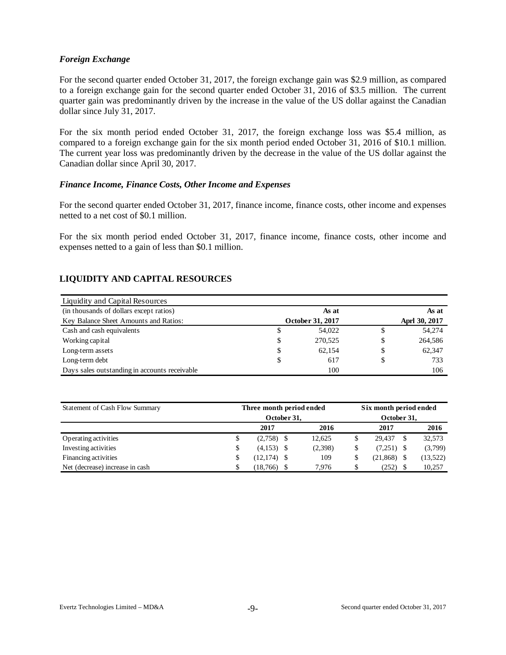### *Foreign Exchange*

For the second quarter ended October 31, 2017, the foreign exchange gain was \$2.9 million, as compared to a foreign exchange gain for the second quarter ended October 31, 2016 of \$3.5 million. The current quarter gain was predominantly driven by the increase in the value of the US dollar against the Canadian dollar since July 31, 2017.

For the six month period ended October 31, 2017, the foreign exchange loss was \$5.4 million, as compared to a foreign exchange gain for the six month period ended October 31, 2016 of \$10.1 million. The current year loss was predominantly driven by the decrease in the value of the US dollar against the Canadian dollar since April 30, 2017.

### *Finance Income, Finance Costs, Other Income and Expenses*

For the second quarter ended October 31, 2017, finance income, finance costs, other income and expenses netted to a net cost of \$0.1 million.

For the six month period ended October 31, 2017, finance income, finance costs, other income and expenses netted to a gain of less than \$0.1 million.

# **LIQUIDITY AND CAPITAL RESOURCES**

| Liquidity and Capital Resources               |    |                  |    |               |
|-----------------------------------------------|----|------------------|----|---------------|
| (in thousands of dollars except ratios)       |    | As at            |    | As at         |
| Key Balance Sheet Amounts and Ratios:         |    | October 31, 2017 |    | Aprl 30, 2017 |
| Cash and cash equivalents                     | S  | 54,022           | S  | 54,274        |
| Working capital                               | \$ | 270,525          | \$ | 264,586       |
| Long-term assets                              | \$ | 62.154           | \$ | 62,347        |
| Long-term debt                                | \$ | 617              | \$ | 733           |
| Days sales outstanding in accounts receivable |    | 100              |    | 106           |

| Statement of Cash Flow Summary  | Three month period ended |             | Six month period ended |  |              |    |          |  |  |
|---------------------------------|--------------------------|-------------|------------------------|--|--------------|----|----------|--|--|
|                                 |                          | October 31, | October 31,            |  |              |    |          |  |  |
|                                 | 2017                     |             | 2016                   |  | 2017         |    | 2016     |  |  |
| Operating activities            | \$<br>$(2,758)$ \$       |             | 12.625                 |  | 29.437       | -S | 32,573   |  |  |
| Investing activities            | \$<br>$(4,153)$ \$       |             | (2,398)                |  | $(7,251)$ \$ |    | (3,799)  |  |  |
| Financing activities            | \$<br>$(12,174)$ \$      |             | 109                    |  | (21, 868)    |    | (13,522) |  |  |
| Net (decrease) increase in cash | $(18,766)$ \$            |             | 7.976                  |  | (252)        |    | 10,257   |  |  |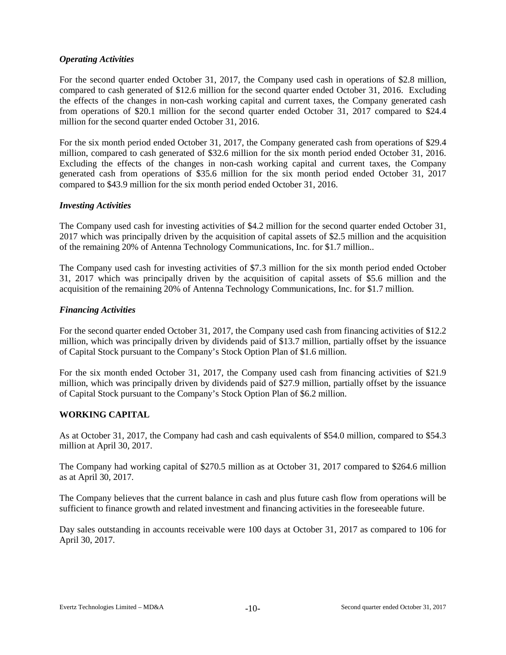# *Operating Activities*

For the second quarter ended October 31, 2017, the Company used cash in operations of \$2.8 million, compared to cash generated of \$12.6 million for the second quarter ended October 31, 2016. Excluding the effects of the changes in non-cash working capital and current taxes, the Company generated cash from operations of \$20.1 million for the second quarter ended October 31, 2017 compared to \$24.4 million for the second quarter ended October 31, 2016.

For the six month period ended October 31, 2017, the Company generated cash from operations of \$29.4 million, compared to cash generated of \$32.6 million for the six month period ended October 31, 2016. Excluding the effects of the changes in non-cash working capital and current taxes, the Company generated cash from operations of \$35.6 million for the six month period ended October 31, 2017 compared to \$43.9 million for the six month period ended October 31, 2016.

# *Investing Activities*

The Company used cash for investing activities of \$4.2 million for the second quarter ended October 31, 2017 which was principally driven by the acquisition of capital assets of \$2.5 million and the acquisition of the remaining 20% of Antenna Technology Communications, Inc. for \$1.7 million..

The Company used cash for investing activities of \$7.3 million for the six month period ended October 31, 2017 which was principally driven by the acquisition of capital assets of \$5.6 million and the acquisition of the remaining 20% of Antenna Technology Communications, Inc. for \$1.7 million.

# *Financing Activities*

For the second quarter ended October 31, 2017, the Company used cash from financing activities of \$12.2 million, which was principally driven by dividends paid of \$13.7 million, partially offset by the issuance of Capital Stock pursuant to the Company's Stock Option Plan of \$1.6 million.

For the six month ended October 31, 2017, the Company used cash from financing activities of \$21.9 million, which was principally driven by dividends paid of \$27.9 million, partially offset by the issuance of Capital Stock pursuant to the Company's Stock Option Plan of \$6.2 million.

# **WORKING CAPITAL**

As at October 31, 2017, the Company had cash and cash equivalents of \$54.0 million, compared to \$54.3 million at April 30, 2017.

The Company had working capital of \$270.5 million as at October 31, 2017 compared to \$264.6 million as at April 30, 2017.

The Company believes that the current balance in cash and plus future cash flow from operations will be sufficient to finance growth and related investment and financing activities in the foreseeable future.

Day sales outstanding in accounts receivable were 100 days at October 31, 2017 as compared to 106 for April 30, 2017.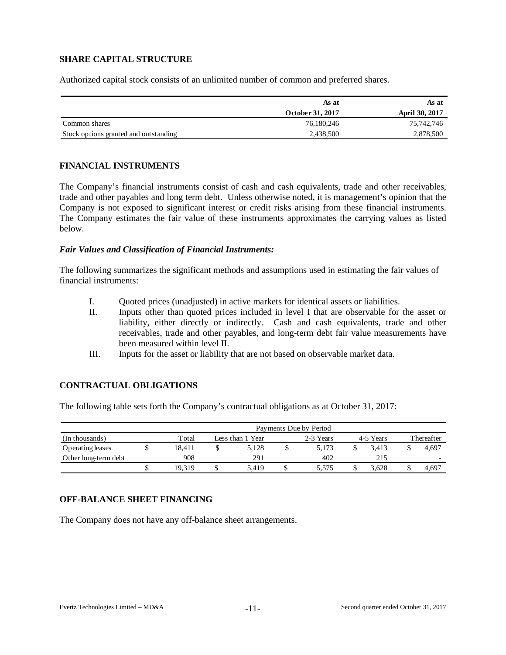# **SHARE CAPITAL STRUCTURE**

Authorized capital stock consists of an unlimited number of common and preferred shares.

|                                       | As at            | As at                 |
|---------------------------------------|------------------|-----------------------|
|                                       | October 31, 2017 | <b>April 30, 2017</b> |
| Common shares                         | 76,180,246       | 75,742,746            |
| Stock options granted and outstanding | 2,438,500        | 2,878,500             |

# **FINANCIAL INSTRUMENTS**

The Company's financial instruments consist of cash and cash equivalents, trade and other receivables, trade and other payables and long term debt. Unless otherwise noted, it is management's opinion that the Company is not exposed to significant interest or credit risks arising from these financial instruments. The Company estimates the fair value of these instruments approximates the carrying values as listed below.

#### *Fair Values and Classification of Financial Instruments:*

The following summarizes the significant methods and assumptions used in estimating the fair values of financial instruments:

- I. Quoted prices (unadjusted) in active markets for identical assets or liabilities.
- II. Inputs other than quoted prices included in level I that are observable for the asset or liability, either directly or indirectly. Cash and cash equivalents, trade and other receivables, trade and other payables, and long-term debt fair value measurements have been measured within level II.
- III. Inputs for the asset or liability that are not based on observable market data.

# **CONTRACTUAL OBLIGATIONS**

The following table sets forth the Company's contractual obligations as at October 31, 2017:

|                      | Payments Due by Period |                                            |       |  |       |  |       |  |       |  |  |  |  |  |
|----------------------|------------------------|--------------------------------------------|-------|--|-------|--|-------|--|-------|--|--|--|--|--|
| (In thousands)       | Total                  | 4-5 Years<br>2-3 Years<br>Less than 1 Year |       |  |       |  |       |  |       |  |  |  |  |  |
| Operating leases     | 18.411                 |                                            | 5.128 |  | 5.173 |  | 3.413 |  | 4.697 |  |  |  |  |  |
| Other long-term debt | 908                    |                                            | 291   |  | 402   |  | 215   |  |       |  |  |  |  |  |
|                      | 19.319                 |                                            | 5.419 |  | 5.575 |  | 3.628 |  | 4,697 |  |  |  |  |  |

# **OFF-BALANCE SHEET FINANCING**

The Company does not have any off-balance sheet arrangements.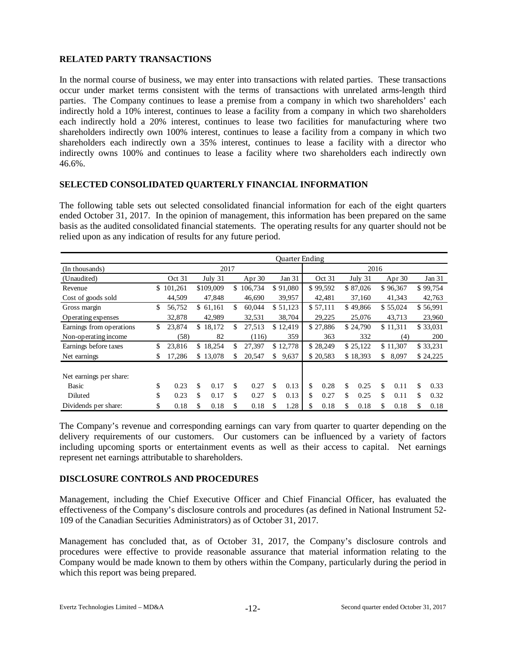# **RELATED PARTY TRANSACTIONS**

In the normal course of business, we may enter into transactions with related parties. These transactions occur under market terms consistent with the terms of transactions with unrelated arms-length third parties. The Company continues to lease a premise from a company in which two shareholders' each indirectly hold a 10% interest, continues to lease a facility from a company in which two shareholders each indirectly hold a 20% interest, continues to lease two facilities for manufacturing where two shareholders indirectly own 100% interest, continues to lease a facility from a company in which two shareholders each indirectly own a 35% interest, continues to lease a facility with a director who indirectly owns 100% and continues to lease a facility where two shareholders each indirectly own 46.6%.

# **SELECTED CONSOLIDATED QUARTERLY FINANCIAL INFORMATION**

The following table sets out selected consolidated financial information for each of the eight quarters ended October 31, 2017. In the opinion of management, this information has been prepared on the same basis as the audited consolidated financial statements. The operating results for any quarter should not be relied upon as any indication of results for any future period.

|                          | Quarter Ending |           |    |           |    |           |    |          |      |          |    |          |    |          |    |            |
|--------------------------|----------------|-----------|----|-----------|----|-----------|----|----------|------|----------|----|----------|----|----------|----|------------|
| (In thousands)           |                |           |    | 2017      |    |           |    |          | 2016 |          |    |          |    |          |    |            |
| (Unaudited)              |                | Oct 31    |    | July $31$ |    | Apr $30$  |    | Jan 31   |      | Oct 31   |    | July 31  |    | Apr $30$ |    | Jan 31     |
| Revenue                  |                | \$101,261 |    | \$109,009 |    | \$106,734 |    | \$91,080 |      | \$99,592 |    | \$87,026 |    | \$96,367 |    | \$99,754   |
| Cost of goods sold       |                | 44,509    |    | 47,848    |    | 46,690    |    | 39,957   |      | 42,481   |    | 37,160   |    | 41,343   |    | 42,763     |
| Gross margin             | \$             | 56,752    |    | \$61,161  | \$ | 60,044    |    | \$51,123 |      | \$57,111 |    | \$49,866 |    | \$55,024 |    | \$56,991   |
| Operating expenses       |                | 32,878    |    | 42,989    |    | 32,531    |    | 38,704   |      | 29,225   |    | 25,076   |    | 43,713   |    | 23,960     |
| Earnings from operations | \$             | 23,874    |    | \$18,172  | \$ | 27,513    |    | \$12,419 |      | \$27,886 |    | \$24,790 |    | \$11,311 |    | \$33,031   |
| Non-operating income     |                | (58)      |    | 82        |    | (116)     |    | 359      |      | 363      |    | 332      |    | (4)      |    | <b>200</b> |
| Earnings before taxes    | \$             | 23,816    |    | \$18,254  | \$ | 27,397    |    | \$12,778 |      | \$28,249 |    | \$25,122 |    | \$11,307 |    | \$33,231   |
| Net earnings             | \$             | 17,286    |    | \$13,078  | S  | 20,547    | \$ | 9,637    |      | \$20,583 |    | \$18,393 | \$ | 8,097    |    | \$24,225   |
|                          |                |           |    |           |    |           |    |          |      |          |    |          |    |          |    |            |
| Net earnings per share:  |                |           |    |           |    |           |    |          |      |          |    |          |    |          |    |            |
| Basic                    | \$             | 0.23      | \$ | 0.17      | \$ | 0.27      | \$ | 0.13     | \$   | 0.28     | \$ | 0.25     | \$ | 0.11     | \$ | 0.33       |
| Diluted                  | \$             | 0.23      | \$ | 0.17      | \$ | 0.27      | \$ | 0.13     | \$   | 0.27     | \$ | 0.25     | \$ | 0.11     | \$ | 0.32       |
| Dividends per share:     | \$             | 0.18      | \$ | 0.18      | \$ | 0.18      | \$ | 1.28     | \$   | 0.18     | \$ | 0.18     | \$ | 0.18     | \$ | 0.18       |

The Company's revenue and corresponding earnings can vary from quarter to quarter depending on the delivery requirements of our customers. Our customers can be influenced by a variety of factors including upcoming sports or entertainment events as well as their access to capital. Net earnings represent net earnings attributable to shareholders.

# **DISCLOSURE CONTROLS AND PROCEDURES**

Management, including the Chief Executive Officer and Chief Financial Officer, has evaluated the effectiveness of the Company's disclosure controls and procedures (as defined in National Instrument 52- 109 of the Canadian Securities Administrators) as of October 31, 2017.

Management has concluded that, as of October 31, 2017, the Company's disclosure controls and procedures were effective to provide reasonable assurance that material information relating to the Company would be made known to them by others within the Company, particularly during the period in which this report was being prepared.